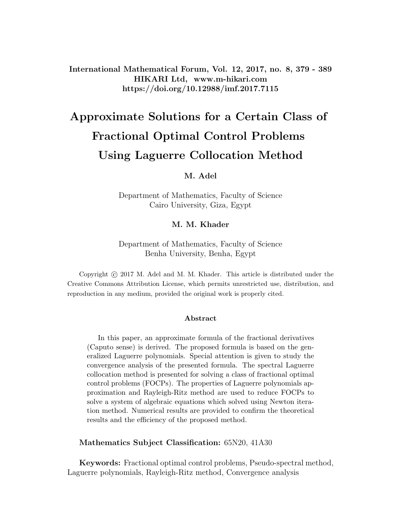International Mathematical Forum, Vol. 12, 2017, no. 8, 379 - 389 HIKARI Ltd, www.m-hikari.com https://doi.org/10.12988/imf.2017.7115

# Approximate Solutions for a Certain Class of Fractional Optimal Control Problems Using Laguerre Collocation Method

#### M. Adel

Department of Mathematics, Faculty of Science Cairo University, Giza, Egypt

#### M. M. Khader

Department of Mathematics, Faculty of Science Benha University, Benha, Egypt

Copyright © 2017 M. Adel and M. M. Khader. This article is distributed under the Creative Commons Attribution License, which permits unrestricted use, distribution, and reproduction in any medium, provided the original work is properly cited.

#### Abstract

In this paper, an approximate formula of the fractional derivatives (Caputo sense) is derived. The proposed formula is based on the generalized Laguerre polynomials. Special attention is given to study the convergence analysis of the presented formula. The spectral Laguerre collocation method is presented for solving a class of fractional optimal control problems (FOCPs). The properties of Laguerre polynomials approximation and Rayleigh-Ritz method are used to reduce FOCPs to solve a system of algebraic equations which solved using Newton iteration method. Numerical results are provided to confirm the theoretical results and the efficiency of the proposed method.

Mathematics Subject Classification: 65N20, 41A30

Keywords: Fractional optimal control problems, Pseudo-spectral method, Laguerre polynomials, Rayleigh-Ritz method, Convergence analysis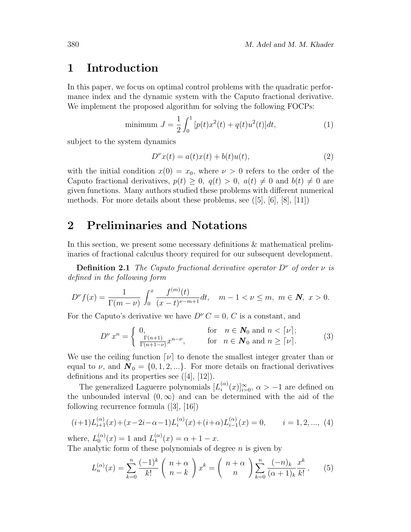## 1 Introduction

In this paper, we focus on optimal control problems with the quadratic performance index and the dynamic system with the Caputo fractional derivative. We implement the proposed algorithm for solving the following FOCPs:

minimum 
$$
J = \frac{1}{2} \int_0^1 [p(t)x^2(t) + q(t)u^2(t)]dt,
$$
 (1)

subject to the system dynamics

$$
D^{\nu}x(t) = a(t)x(t) + b(t)u(t),
$$
\n(2)

with the initial condition  $x(0) = x_0$ , where  $\nu > 0$  refers to the order of the Caputo fractional derivatives,  $p(t) \geq 0$ ,  $q(t) > 0$ ,  $a(t) \neq 0$  and  $b(t) \neq 0$  are given functions. Many authors studied these problems with different numerical methods. For more details about these problems, see  $([5], [6], [8], [11])$ 

## 2 Preliminaries and Notations

In this section, we present some necessary definitions & mathematical preliminaries of fractional calculus theory required for our subsequent development.

**Definition 2.1** The Caputo fractional derivative operator  $D^{\nu}$  of order  $\nu$  is defined in the following form

$$
D^{\nu}f(x) = \frac{1}{\Gamma(m-\nu)} \int_0^x \frac{f^{(m)}(t)}{(x-t)^{\nu-m+1}} dt, \quad m-1 < \nu \le m, \ m \in \mathbb{N}, \ x > 0.
$$

For the Caputo's derivative we have  $D^{\nu} C = 0, C$  is a constant, and

$$
D^{\nu} x^{n} = \begin{cases} 0, & \text{for} \quad n \in \mathbf{N}_{0} \text{ and } n < [\nu]; \\ \frac{\Gamma(n+1)}{\Gamma(n+1-\nu)} x^{n-\nu}, & \text{for} \quad n \in \mathbf{N}_{0} \text{ and } n \geq [\nu]. \end{cases}
$$
(3)

We use the ceiling function  $[\nu]$  to denote the smallest integer greater than or equal to  $\nu$ , and  $\mathbf{N}_0 = \{0, 1, 2, ...\}$ . For more details on fractional derivatives definitions and its properties see ([4], [12]).

The generalized Laguerre polynomials  $[L_i^{(\alpha)}]$  $\binom{\alpha}{i}(x)]_{i=0}^{\infty}$ ,  $\alpha > -1$  are defined on the unbounded interval  $(0, \infty)$  and can be determined with the aid of the following recurrence formula ([3], [16])

$$
(i+1)L_{i+1}^{(\alpha)}(x) + (x-2i-\alpha-1)L_i^{(\alpha)}(x) + (i+\alpha)L_{i-1}^{(\alpha)}(x) = 0, \qquad i = 1, 2, ..., (4)
$$

where,  $L_0^{(\alpha)}$  $\binom{\alpha}{0}(x) = 1$  and  $L_1^{(\alpha)}$  $f_1^{(\alpha)}(x) = \alpha + 1 - x.$ The analytic form of these polynomials of degree  $n$  is given by

$$
L_n^{(\alpha)}(x) = \sum_{k=0}^n \frac{(-1)^k}{k!} \binom{n+\alpha}{n-k} x^k = \binom{n+\alpha}{n} \sum_{k=0}^n \frac{(-n)_k}{(\alpha+1)_k} \frac{x^k}{k!},
$$
(5)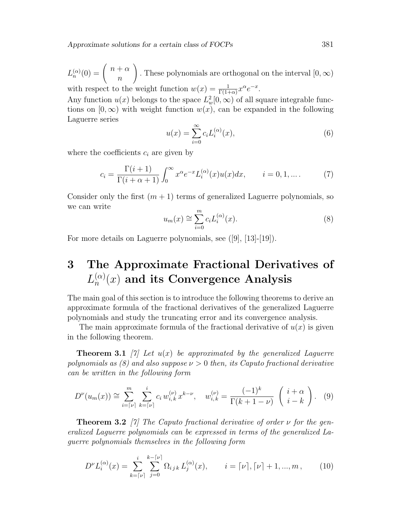$L_n^{(\alpha)}(0) = \begin{pmatrix} n+\alpha \\ n \end{pmatrix}$  $\overline{n}$  $\setminus$ . These polynomials are orthogonal on the interval  $[0, \infty)$ with respect to the weight function  $w(x) = \frac{1}{\Gamma(1+\alpha)} x^{\alpha} e^{-x}$ .

Any function  $u(x)$  belongs to the space  $L^2_w[0,\infty)$  of all square integrable functions on  $[0, \infty)$  with weight function  $w(x)$ , can be expanded in the following Laguerre series

$$
u(x) = \sum_{i=0}^{\infty} c_i L_i^{(\alpha)}(x),
$$
 (6)

where the coefficients  $c_i$  are given by

$$
c_i = \frac{\Gamma(i+1)}{\Gamma(i+\alpha+1)} \int_0^\infty x^{\alpha} e^{-x} L_i^{(\alpha)}(x) u(x) dx, \qquad i = 0, 1, \dots.
$$
 (7)

Consider only the first  $(m + 1)$  terms of generalized Laguerre polynomials, so we can write

$$
u_m(x) \cong \sum_{i=0}^m c_i L_i^{(\alpha)}(x). \tag{8}
$$

For more details on Laguerre polynomials, see  $([9], [13]-[19])$ .

### 3 The Approximate Fractional Derivatives of  $L_n^{(\alpha)}$  $\mathcal{C}^{(\alpha)}_n(x)$  and its Convergence Analysis

The main goal of this section is to introduce the following theorems to derive an approximate formula of the fractional derivatives of the generalized Laguerre polynomials and study the truncating error and its convergence analysis.

The main approximate formula of the fractional derivative of  $u(x)$  is given in the following theorem.

**Theorem 3.1** [7] Let  $u(x)$  be approximated by the generalized Laguerre polynomials as (8) and also suppose  $\nu > 0$  then, its Caputo fractional derivative can be written in the following form

$$
D^{\nu}(u_m(x)) \cong \sum_{i=\lceil \nu \rceil}^m \sum_{k=\lceil \nu \rceil}^i c_i w_{i,k}^{(\nu)} x^{k-\nu}, \quad w_{i,k}^{(\nu)} = \frac{(-1)^k}{\Gamma(k+1-\nu)} \left( \begin{array}{c} i+\alpha \\ i-k \end{array} \right). \tag{9}
$$

**Theorem 3.2** [7] The Caputo fractional derivative of order  $\nu$  for the generalized Laguerre polynomials can be expressed in terms of the generalized Laguerre polynomials themselves in the following form

$$
D^{\nu}L_i^{(\alpha)}(x) = \sum_{k=\lceil \nu \rceil}^i \sum_{j=0}^{k-\lceil \nu \rceil} \Omega_{ijk} L_j^{(\alpha)}(x), \qquad i = \lceil \nu \rceil, \lceil \nu \rceil + 1, ..., m, \qquad (10)
$$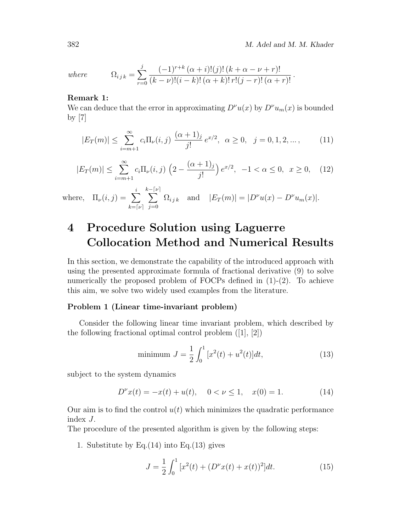where 
$$
\Omega_{ijk} = \sum_{r=0}^{j} \frac{(-1)^{r+k} (\alpha + i)!(j)!(k + \alpha - \nu + r)!}{(k - \nu)!(i - k)!(\alpha + k)!\,r!(j - r)!(\alpha + r)!}.
$$

#### Remark 1:

We can deduce that the error in approximating  $D^{\nu}u(x)$  by  $D^{\nu}u_m(x)$  is bounded by [7]

$$
|E_T(m)| \le \sum_{i=m+1}^{\infty} c_i \Pi_{\nu}(i,j) \frac{(\alpha+1)_j}{j!} e^{x/2}, \ \alpha \ge 0, \ \ j=0,1,2,\dots, \tag{11}
$$

$$
|E_T(m)| \le \sum_{i=m+1}^{\infty} c_i \Pi_{\nu}(i,j) \left(2 - \frac{(\alpha+1)_j}{j!} \right) e^{x/2}, \ -1 < \alpha \le 0, \ x \ge 0, \tag{12}
$$

where, 
$$
\Pi_{\nu}(i,j) = \sum_{k= [\nu]}^{i} \sum_{j=0}^{k- [\nu]} \Omega_{ijk}
$$
 and  $|E_T(m)| = |D^{\nu}u(x) - D^{\nu}u_m(x)|$ .

## 4 Procedure Solution using Laguerre Collocation Method and Numerical Results

In this section, we demonstrate the capability of the introduced approach with using the presented approximate formula of fractional derivative (9) to solve numerically the proposed problem of FOCPs defined in  $(1)-(2)$ . To achieve this aim, we solve two widely used examples from the literature.

#### Problem 1 (Linear time-invariant problem)

Consider the following linear time invariant problem, which described by the following fractional optimal control problem ([1], [2])

minimum 
$$
J = \frac{1}{2} \int_0^1 [x^2(t) + u^2(t)]dt,
$$
 (13)

subject to the system dynamics

$$
D^{\nu}x(t) = -x(t) + u(t), \quad 0 < \nu \le 1, \quad x(0) = 1.
$$
 (14)

Our aim is to find the control  $u(t)$  which minimizes the quadratic performance index J.

The procedure of the presented algorithm is given by the following steps:

1. Substitute by Eq. $(14)$  into Eq. $(13)$  gives

$$
J = \frac{1}{2} \int_0^1 \left[ x^2(t) + (D^\nu x(t) + x(t))^2 \right] dt.
$$
 (15)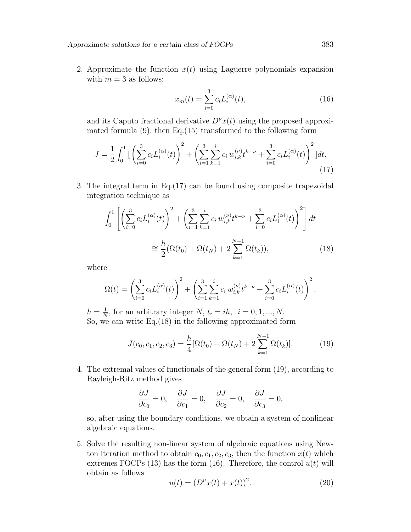Approximate solutions for a certain class of FOCPs 383

2. Approximate the function  $x(t)$  using Laguerre polynomials expansion with  $m = 3$  as follows:

$$
x_m(t) = \sum_{i=0}^{3} c_i L_i^{(\alpha)}(t),
$$
\n(16)

and its Caputo fractional derivative  $D^{\nu}x(t)$  using the proposed approximated formula  $(9)$ , then Eq. $(15)$  transformed to the following form

$$
J = \frac{1}{2} \int_0^1 \left[ \left( \sum_{i=0}^3 c_i L_i^{(\alpha)}(t) \right)^2 + \left( \sum_{i=1}^3 \sum_{k=1}^i c_i w_{i,k}^{(\nu)} t^{k-\nu} + \sum_{i=0}^3 c_i L_i^{(\alpha)}(t) \right)^2 \right] dt.
$$
\n(17)

3. The integral term in Eq.(17) can be found using composite trapezoidal integration technique as

$$
\int_0^1 \left[ \left( \sum_{i=0}^3 c_i L_i^{(\alpha)}(t) \right)^2 + \left( \sum_{i=1}^3 \sum_{k=1}^i c_i w_{i,k}^{(\nu)} t^{k-\nu} + \sum_{i=0}^3 c_i L_i^{(\alpha)}(t) \right)^2 \right] dt
$$
  

$$
\approx \frac{h}{2} (\Omega(t_0) + \Omega(t_N) + 2 \sum_{k=1}^{N-1} \Omega(t_k)),
$$
 (18)

where

$$
\Omega(t) = \left(\sum_{i=0}^{3} c_i L_i^{(\alpha)}(t)\right)^2 + \left(\sum_{i=1}^{3} \sum_{k=1}^{i} c_i w_{i,k}^{(\nu)} t^{k-\nu} + \sum_{i=0}^{3} c_i L_i^{(\alpha)}(t)\right)^2,
$$

 $h=\frac{1}{N}$  $\frac{1}{N}$ , for an arbitrary integer N,  $t_i = ih$ ,  $i = 0, 1, ..., N$ . So, we can write Eq.(18) in the following approximated form

$$
J(c_0, c_1, c_2, c_3) = \frac{h}{4} [\Omega(t_0) + \Omega(t_N) + 2 \sum_{k=1}^{N-1} \Omega(t_k)].
$$
 (19)

4. The extremal values of functionals of the general form (19), according to Rayleigh-Ritz method gives

$$
\frac{\partial J}{\partial c_0} = 0, \quad \frac{\partial J}{\partial c_1} = 0, \quad \frac{\partial J}{\partial c_2} = 0, \quad \frac{\partial J}{\partial c_3} = 0,
$$

so, after using the boundary conditions, we obtain a system of nonlinear algebraic equations.

5. Solve the resulting non-linear system of algebraic equations using Newton iteration method to obtain  $c_0, c_1, c_2, c_3$ , then the function  $x(t)$  which extremes FOCPs (13) has the form (16). Therefore, the control  $u(t)$  will obtain as follows

$$
u(t) = (D^{\nu}x(t) + x(t))^2.
$$
 (20)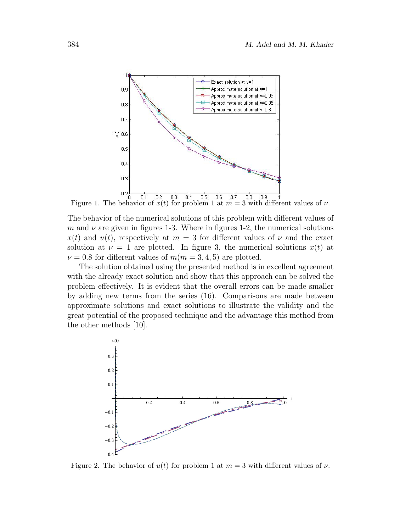

Figure 1. The behavior of  $x(t)$  for problem 1 at  $m = 3$  with different values of  $\nu$ .

The behavior of the numerical solutions of this problem with different values of m and  $\nu$  are given in figures 1-3. Where in figures 1-2, the numerical solutions  $x(t)$  and  $u(t)$ , respectively at  $m = 3$  for different values of  $\nu$  and the exact solution at  $\nu = 1$  are plotted. In figure 3, the numerical solutions  $x(t)$  at  $\nu = 0.8$  for different values of  $m(m = 3, 4, 5)$  are plotted.

The solution obtained using the presented method is in excellent agreement with the already exact solution and show that this approach can be solved the problem effectively. It is evident that the overall errors can be made smaller by adding new terms from the series (16). Comparisons are made between approximate solutions and exact solutions to illustrate the validity and the great potential of the proposed technique and the advantage this method from the other methods [10].



Figure 2. The behavior of  $u(t)$  for problem 1 at  $m = 3$  with different values of  $\nu$ .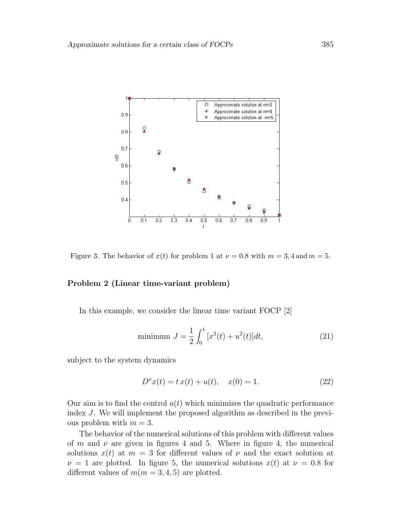

Figure 3. The behavior of  $x(t)$  for problem 1 at  $\nu = 0.8$  with  $m = 3, 4$  and  $m = 5$ .

#### Problem 2 (Linear time-variant problem)

In this example, we consider the linear time variant FOCP [2]

minimum 
$$
J = \frac{1}{2} \int_0^1 [x^2(t) + u^2(t)]dt,
$$
 (21)

subject to the system dynamics

$$
D^{\nu}x(t) = t x(t) + u(t), \quad x(0) = 1.
$$
 (22)

Our aim is to find the control  $u(t)$  which minimizes the quadratic performance index J. We will implement the proposed algorithm as described in the previous problem with  $m = 3$ .

The behavior of the numerical solutions of this problem with different values of m and  $\nu$  are given in figures 4 and 5. Where in figure 4, the numerical solutions  $x(t)$  at  $m = 3$  for different values of  $\nu$  and the exact solution at  $\nu = 1$  are plotted. In figure 5, the numerical solutions  $x(t)$  at  $\nu = 0.8$  for different values of  $m(m = 3, 4, 5)$  are plotted.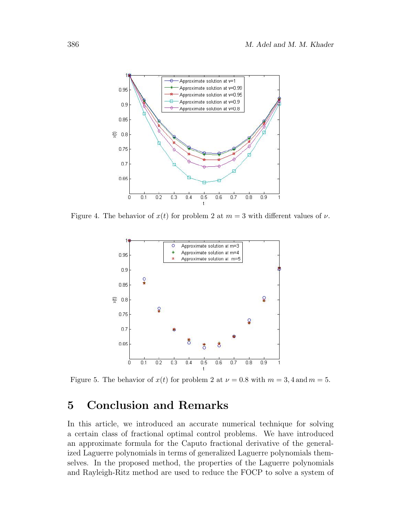

Figure 4. The behavior of  $x(t)$  for problem 2 at  $m = 3$  with different values of  $\nu$ .



Figure 5. The behavior of  $x(t)$  for problem 2 at  $\nu = 0.8$  with  $m = 3, 4$  and  $m = 5$ .

## 5 Conclusion and Remarks

In this article, we introduced an accurate numerical technique for solving a certain class of fractional optimal control problems. We have introduced an approximate formula for the Caputo fractional derivative of the generalized Laguerre polynomials in terms of generalized Laguerre polynomials themselves. In the proposed method, the properties of the Laguerre polynomials and Rayleigh-Ritz method are used to reduce the FOCP to solve a system of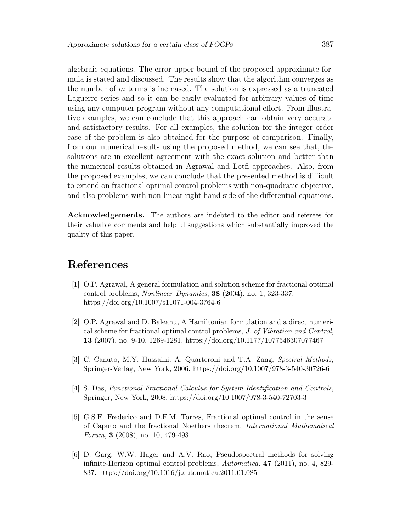algebraic equations. The error upper bound of the proposed approximate formula is stated and discussed. The results show that the algorithm converges as the number of m terms is increased. The solution is expressed as a truncated Laguerre series and so it can be easily evaluated for arbitrary values of time using any computer program without any computational effort. From illustrative examples, we can conclude that this approach can obtain very accurate and satisfactory results. For all examples, the solution for the integer order case of the problem is also obtained for the purpose of comparison. Finally, from our numerical results using the proposed method, we can see that, the solutions are in excellent agreement with the exact solution and better than the numerical results obtained in Agrawal and Lotfi approaches. Also, from the proposed examples, we can conclude that the presented method is difficult to extend on fractional optimal control problems with non-quadratic objective, and also problems with non-linear right hand side of the differential equations.

Acknowledgements. The authors are indebted to the editor and referees for their valuable comments and helpful suggestions which substantially improved the quality of this paper.

## References

- [1] O.P. Agrawal, A general formulation and solution scheme for fractional optimal control problems, Nonlinear Dynamics, 38 (2004), no. 1, 323-337. https://doi.org/10.1007/s11071-004-3764-6
- [2] O.P. Agrawal and D. Baleanu, A Hamiltonian formulation and a direct numerical scheme for fractional optimal control problems, J. of Vibration and Control, 13 (2007), no. 9-10, 1269-1281. https://doi.org/10.1177/1077546307077467
- [3] C. Canuto, M.Y. Hussaini, A. Quarteroni and T.A. Zang, Spectral Methods, Springer-Verlag, New York, 2006. https://doi.org/10.1007/978-3-540-30726-6
- [4] S. Das, Functional Fractional Calculus for System Identification and Controls, Springer, New York, 2008. https://doi.org/10.1007/978-3-540-72703-3
- [5] G.S.F. Frederico and D.F.M. Torres, Fractional optimal control in the sense of Caputo and the fractional Noethers theorem, International Mathematical Forum, 3 (2008), no. 10, 479-493.
- [6] D. Garg, W.W. Hager and A.V. Rao, Pseudospectral methods for solving infinite-Horizon optimal control problems, Automatica, 47 (2011), no. 4, 829- 837. https://doi.org/10.1016/j.automatica.2011.01.085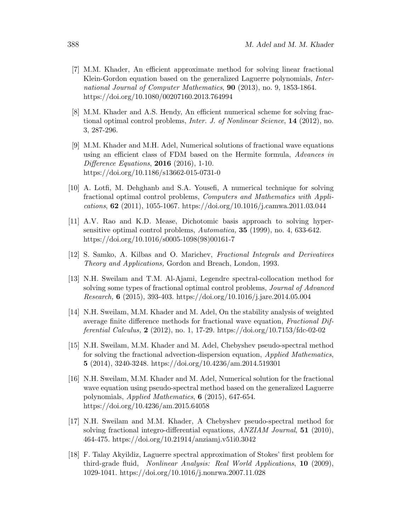- [7] M.M. Khader, An efficient approximate method for solving linear fractional Klein-Gordon equation based on the generalized Laguerre polynomials, International Journal of Computer Mathematics, 90 (2013), no. 9, 1853-1864. https://doi.org/10.1080/00207160.2013.764994
- [8] M.M. Khader and A.S. Hendy, An efficient numerical scheme for solving fractional optimal control problems, Inter. J. of Nonlinear Science, 14 (2012), no. 3, 287-296.
- [9] M.M. Khader and M.H. Adel, Numerical solutions of fractional wave equations using an efficient class of FDM based on the Hermite formula, Advances in Difference Equations, 2016 (2016), 1-10. https://doi.org/10.1186/s13662-015-0731-0
- [10] A. Lotfi, M. Dehghanb and S.A. Yousefi, A numerical technique for solving fractional optimal control problems, Computers and Mathematics with Applications, 62 (2011), 1055-1067. https://doi.org/10.1016/j.camwa.2011.03.044
- [11] A.V. Rao and K.D. Mease, Dichotomic basis approach to solving hypersensitive optimal control problems,  $Automatica$ , 35 (1999), no. 4, 633-642. https://doi.org/10.1016/s0005-1098(98)00161-7
- [12] S. Samko, A. Kilbas and O. Marichev, Fractional Integrals and Derivatives Theory and Applications, Gordon and Breach, London, 1993.
- [13] N.H. Sweilam and T.M. Al-Ajami, Legendre spectral-collocation method for solving some types of fractional optimal control problems, *Journal of Advanced* Research, 6 (2015), 393-403. https://doi.org/10.1016/j.jare.2014.05.004
- [14] N.H. Sweilam, M.M. Khader and M. Adel, On the stability analysis of weighted average finite difference methods for fractional wave equation, Fractional Differential Calculus, 2 (2012), no. 1, 17-29. https://doi.org/10.7153/fdc-02-02
- [15] N.H. Sweilam, M.M. Khader and M. Adel, Chebyshev pseudo-spectral method for solving the fractional advection-dispersion equation, *Applied Mathematics*, 5 (2014), 3240-3248. https://doi.org/10.4236/am.2014.519301
- [16] N.H. Sweilam, M.M. Khader and M. Adel, Numerical solution for the fractional wave equation using pseudo-spectral method based on the generalized Laguerre polynomials, Applied Mathematics, 6 (2015), 647-654. https://doi.org/10.4236/am.2015.64058
- [17] N.H. Sweilam and M.M. Khader, A Chebyshev pseudo-spectral method for solving fractional integro-differential equations, *ANZIAM Journal*, **51** (2010), 464-475. https://doi.org/10.21914/anziamj.v51i0.3042
- [18] F. Talay Akyildiz, Laguerre spectral approximation of Stokes' first problem for third-grade fluid, Nonlinear Analysis: Real World Applications, 10 (2009), 1029-1041. https://doi.org/10.1016/j.nonrwa.2007.11.028